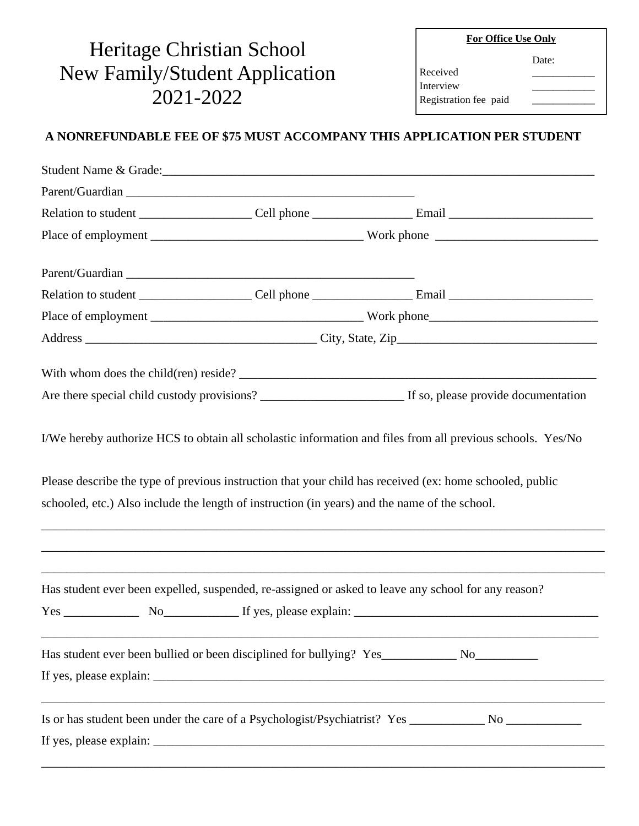## **For Office Use Only**

Date:

## Heritage Christian School New Family/Student Application 2021-2022

| Received  |  |
|-----------|--|
| Interview |  |

Registration fee paid

## **A NONREFUNDABLE FEE OF \$75 MUST ACCOMPANY THIS APPLICATION PER STUDENT**

| Student Name & Grade:                                                                         |  |                                                                                                          |  |
|-----------------------------------------------------------------------------------------------|--|----------------------------------------------------------------------------------------------------------|--|
|                                                                                               |  |                                                                                                          |  |
|                                                                                               |  |                                                                                                          |  |
|                                                                                               |  |                                                                                                          |  |
|                                                                                               |  |                                                                                                          |  |
|                                                                                               |  |                                                                                                          |  |
|                                                                                               |  |                                                                                                          |  |
|                                                                                               |  |                                                                                                          |  |
|                                                                                               |  |                                                                                                          |  |
|                                                                                               |  |                                                                                                          |  |
|                                                                                               |  |                                                                                                          |  |
|                                                                                               |  |                                                                                                          |  |
| schooled, etc.) Also include the length of instruction (in years) and the name of the school. |  | Please describe the type of previous instruction that your child has received (ex: home schooled, public |  |
|                                                                                               |  | Has student ever been expelled, suspended, re-assigned or asked to leave any school for any reason?      |  |
|                                                                                               |  |                                                                                                          |  |
|                                                                                               |  |                                                                                                          |  |
|                                                                                               |  |                                                                                                          |  |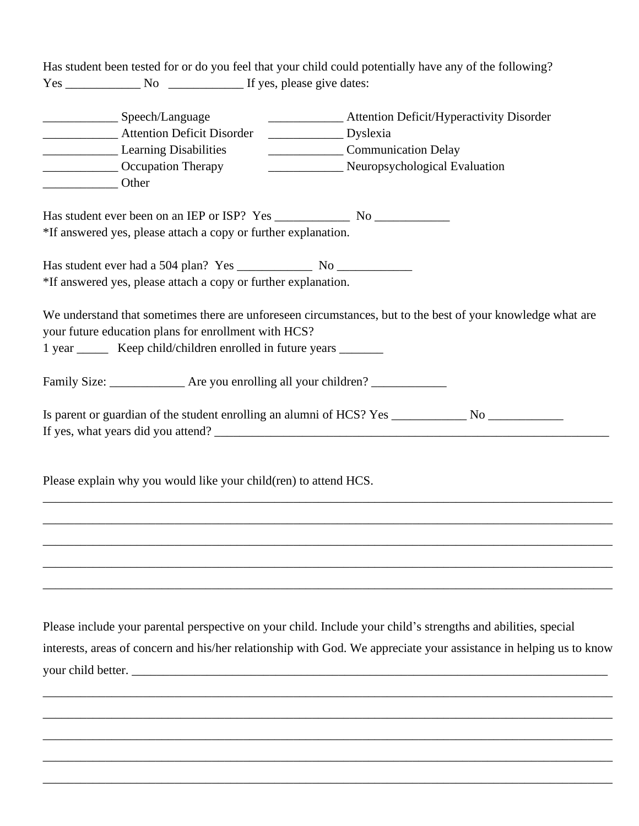Has student been tested for or do you feel that your child could potentially have any of the following? Yes \_\_\_\_\_\_\_\_\_\_\_\_ No \_\_\_\_\_\_\_\_\_\_\_\_ If yes, please give dates:

| ___________________________Speech/Language<br>__________________ Attention Deficit Disorder                                    | _______________ Attention Deficit/Hyperactivity Disorder<br>Dyslexia                                                                                                                                                                |
|--------------------------------------------------------------------------------------------------------------------------------|-------------------------------------------------------------------------------------------------------------------------------------------------------------------------------------------------------------------------------------|
| Learning Disabilities<br>_________________ Occupation Therapy<br>Other                                                         | Communication Delay<br>________________________ Neuropsychological Evaluation                                                                                                                                                       |
| *If answered yes, please attach a copy or further explanation.                                                                 |                                                                                                                                                                                                                                     |
| *If answered yes, please attach a copy or further explanation.                                                                 |                                                                                                                                                                                                                                     |
| your future education plans for enrollment with HCS?<br>1 year ________ Keep child/children enrolled in future years _________ | We understand that sometimes there are unforeseen circumstances, but to the best of your knowledge what are                                                                                                                         |
| Family Size: ________________ Are you enrolling all your children? _____________                                               |                                                                                                                                                                                                                                     |
|                                                                                                                                | Is parent or guardian of the student enrolling an alumni of HCS? Yes ____________ No ______________<br>If yes, what years did you attend?                                                                                           |
| Please explain why you would like your child(ren) to attend HCS.                                                               |                                                                                                                                                                                                                                     |
|                                                                                                                                |                                                                                                                                                                                                                                     |
|                                                                                                                                |                                                                                                                                                                                                                                     |
|                                                                                                                                |                                                                                                                                                                                                                                     |
|                                                                                                                                | Please include your parental perspective on your child. Include your child's strengths and abilities, special<br>interests, areas of concern and his/her relationship with God. We appreciate your assistance in helping us to know |
| your child better.                                                                                                             |                                                                                                                                                                                                                                     |

 $\mathcal{L}_\mathcal{L} = \{ \mathcal{L}_\mathcal{L} = \{ \mathcal{L}_\mathcal{L} = \{ \mathcal{L}_\mathcal{L} = \{ \mathcal{L}_\mathcal{L} = \{ \mathcal{L}_\mathcal{L} = \{ \mathcal{L}_\mathcal{L} = \{ \mathcal{L}_\mathcal{L} = \{ \mathcal{L}_\mathcal{L} = \{ \mathcal{L}_\mathcal{L} = \{ \mathcal{L}_\mathcal{L} = \{ \mathcal{L}_\mathcal{L} = \{ \mathcal{L}_\mathcal{L} = \{ \mathcal{L}_\mathcal{L} = \{ \mathcal{L}_\mathcal{$ 

\_\_\_\_\_\_\_\_\_\_\_\_\_\_\_\_\_\_\_\_\_\_\_\_\_\_\_\_\_\_\_\_\_\_\_\_\_\_\_\_\_\_\_\_\_\_\_\_\_\_\_\_\_\_\_\_\_\_\_\_\_\_\_\_\_\_\_\_\_\_\_\_\_\_\_\_\_\_\_\_\_\_\_\_\_\_\_\_\_\_\_

\_\_\_\_\_\_\_\_\_\_\_\_\_\_\_\_\_\_\_\_\_\_\_\_\_\_\_\_\_\_\_\_\_\_\_\_\_\_\_\_\_\_\_\_\_\_\_\_\_\_\_\_\_\_\_\_\_\_\_\_\_\_\_\_\_\_\_\_\_\_\_\_\_\_\_\_\_\_\_\_\_\_\_\_\_\_\_\_\_\_\_

\_\_\_\_\_\_\_\_\_\_\_\_\_\_\_\_\_\_\_\_\_\_\_\_\_\_\_\_\_\_\_\_\_\_\_\_\_\_\_\_\_\_\_\_\_\_\_\_\_\_\_\_\_\_\_\_\_\_\_\_\_\_\_\_\_\_\_\_\_\_\_\_\_\_\_\_\_\_\_\_\_\_\_\_\_\_\_\_\_\_\_

\_\_\_\_\_\_\_\_\_\_\_\_\_\_\_\_\_\_\_\_\_\_\_\_\_\_\_\_\_\_\_\_\_\_\_\_\_\_\_\_\_\_\_\_\_\_\_\_\_\_\_\_\_\_\_\_\_\_\_\_\_\_\_\_\_\_\_\_\_\_\_\_\_\_\_\_\_\_\_\_\_\_\_\_\_\_\_\_\_\_\_